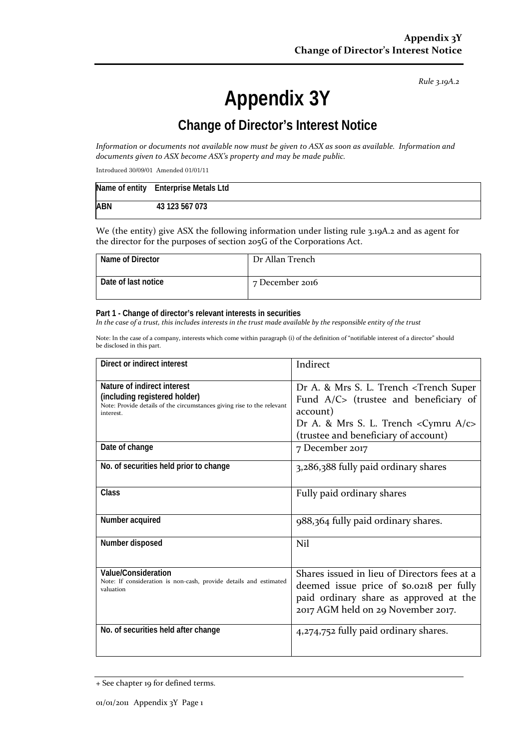*Rule 3.19A.2*

# **Appendix 3Y**

## **Change of Director's Interest Notice**

*Information or documents not available now must be given to ASX as soon as available. Information and documents given to ASX become ASX's property and may be made public.*

Introduced 30/09/01 Amended 01/01/11

|            | Name of entity Enterprise Metals Ltd |
|------------|--------------------------------------|
| <b>ABN</b> | 43 123 567 073                       |

We (the entity) give ASX the following information under listing rule 3.19A.2 and as agent for the director for the purposes of section 205G of the Corporations Act.

| Name of Director    | Dr Allan Trench |
|---------------------|-----------------|
| Date of last notice | 7 December 2016 |

#### **Part 1 - Change of director's relevant interests in securities**

*In the case of a trust, this includes interests in the trust made available by the responsible entity of the trust*

Note: In the case of a company, interests which come within paragraph (i) of the definition of "notifiable interest of a director" should be disclosed in this part.

| Direct or indirect interest                                                                                                                         | Indirect                                                                                                                                                                                                 |  |
|-----------------------------------------------------------------------------------------------------------------------------------------------------|----------------------------------------------------------------------------------------------------------------------------------------------------------------------------------------------------------|--|
| Nature of indirect interest<br>(including registered holder)<br>Note: Provide details of the circumstances giving rise to the relevant<br>interest. | Dr A. & Mrs S. L. Trench <trench super<br="">Fund A/C&gt; (trustee and beneficiary of<br/>account)<br/>Dr A. &amp; Mrs S. L. Trench &lt; Cymru A/c&gt;<br/>(trustee and beneficiary of account)</trench> |  |
| Date of change                                                                                                                                      | 7 December 2017                                                                                                                                                                                          |  |
| No. of securities held prior to change                                                                                                              | 3,286,388 fully paid ordinary shares                                                                                                                                                                     |  |
| <b>Class</b>                                                                                                                                        | Fully paid ordinary shares                                                                                                                                                                               |  |
| Number acquired                                                                                                                                     | 988,364 fully paid ordinary shares.                                                                                                                                                                      |  |
| Number disposed                                                                                                                                     | Nil                                                                                                                                                                                                      |  |
| Value/Consideration<br>Note: If consideration is non-cash, provide details and estimated<br>valuation                                               | Shares issued in lieu of Directors fees at a<br>deemed issue price of \$0.0218 per fully<br>paid ordinary share as approved at the<br>2017 AGM held on 29 November 2017.                                 |  |
| No. of securities held after change                                                                                                                 | 4,274,752 fully paid ordinary shares.                                                                                                                                                                    |  |

<sup>+</sup> See chapter 19 for defined terms.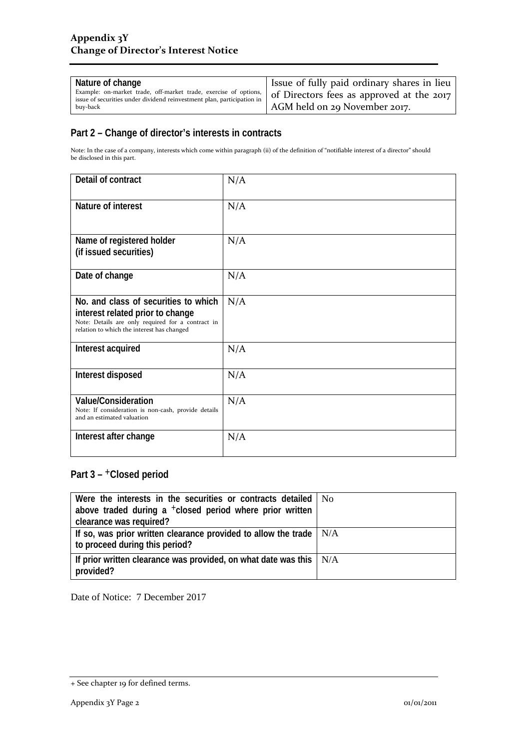| Nature of change<br>Example: on-market trade, off-market trade, exercise of options,<br>issue of securities under dividend reinvestment plan, participation in<br>buv-back | I Issue of fully paid ordinary shares in lieu<br>of Directors fees as approved at the 2017<br>AGM held on 29 November 2017. |
|----------------------------------------------------------------------------------------------------------------------------------------------------------------------------|-----------------------------------------------------------------------------------------------------------------------------|
|----------------------------------------------------------------------------------------------------------------------------------------------------------------------------|-----------------------------------------------------------------------------------------------------------------------------|

## **Part 2 – Change of director's interests in contracts**

Note: In the case of a company, interests which come within paragraph (ii) of the definition of "notifiable interest of a director" should be disclosed in this part.

| Detail of contract                                                                                                                                                          | N/A |
|-----------------------------------------------------------------------------------------------------------------------------------------------------------------------------|-----|
| Nature of interest                                                                                                                                                          | N/A |
| Name of registered holder<br>(if issued securities)                                                                                                                         | N/A |
| Date of change                                                                                                                                                              | N/A |
| No. and class of securities to which<br>interest related prior to change<br>Note: Details are only required for a contract in<br>relation to which the interest has changed | N/A |
| Interest acquired                                                                                                                                                           | N/A |
| Interest disposed                                                                                                                                                           | N/A |
| <b>Value/Consideration</b><br>Note: If consideration is non-cash, provide details<br>and an estimated valuation                                                             | N/A |
| Interest after change                                                                                                                                                       | N/A |

## **Part 3 –** +**Closed period**

| Were the interests in the securities or contracts detailed   No<br>above traded during a <sup>+</sup> closed period where prior written<br>clearance was required? |  |
|--------------------------------------------------------------------------------------------------------------------------------------------------------------------|--|
| If so, was prior written clearance provided to allow the trade $\mid N/A$<br>to proceed during this period?                                                        |  |
| If prior written clearance was provided, on what date was this $\mid N/A$<br>provided?                                                                             |  |

Date of Notice: 7 December 2017

<sup>+</sup> See chapter 19 for defined terms.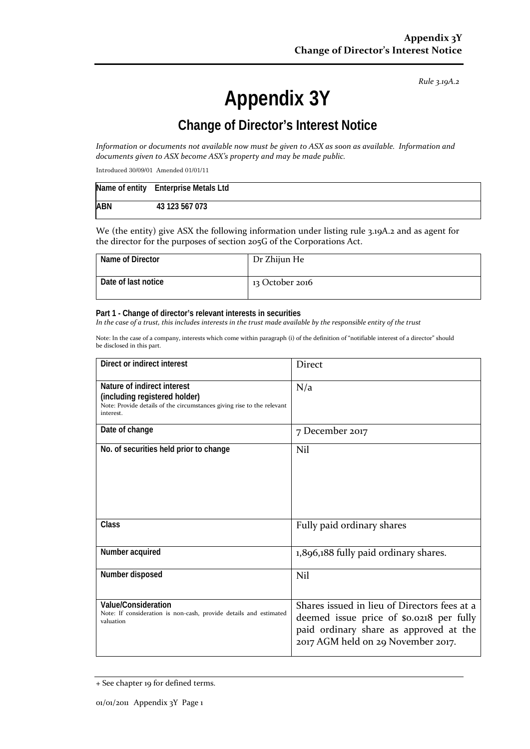*Rule 3.19A.2*

# **Appendix 3Y**

## **Change of Director's Interest Notice**

*Information or documents not available now must be given to ASX as soon as available. Information and documents given to ASX become ASX's property and may be made public.*

Introduced 30/09/01 Amended 01/01/11

|            | Name of entity Enterprise Metals Ltd |
|------------|--------------------------------------|
| <b>ABN</b> | 43 123 567 073                       |

We (the entity) give ASX the following information under listing rule 3.19A.2 and as agent for the director for the purposes of section 205G of the Corporations Act.

| Name of Director    | Dr Zhijun He    |
|---------------------|-----------------|
| Date of last notice | 13 October 2016 |

#### **Part 1 - Change of director's relevant interests in securities**

*In the case of a trust, this includes interests in the trust made available by the responsible entity of the trust*

Note: In the case of a company, interests which come within paragraph (i) of the definition of "notifiable interest of a director" should be disclosed in this part.

| Direct or indirect interest                                                                                                                         | Direct                                                                                                                                                                   |
|-----------------------------------------------------------------------------------------------------------------------------------------------------|--------------------------------------------------------------------------------------------------------------------------------------------------------------------------|
| Nature of indirect interest<br>(including registered holder)<br>Note: Provide details of the circumstances giving rise to the relevant<br>interest. | N/a                                                                                                                                                                      |
| Date of change                                                                                                                                      | 7 December 2017                                                                                                                                                          |
| No. of securities held prior to change                                                                                                              | Nil                                                                                                                                                                      |
| <b>Class</b>                                                                                                                                        | Fully paid ordinary shares                                                                                                                                               |
| Number acquired                                                                                                                                     | 1,896,188 fully paid ordinary shares.                                                                                                                                    |
| Number disposed                                                                                                                                     | Nil                                                                                                                                                                      |
| <b>Value/Consideration</b><br>Note: If consideration is non-cash, provide details and estimated<br>valuation                                        | Shares issued in lieu of Directors fees at a<br>deemed issue price of \$0.0218 per fully<br>paid ordinary share as approved at the<br>2017 AGM held on 29 November 2017. |

<sup>+</sup> See chapter 19 for defined terms.